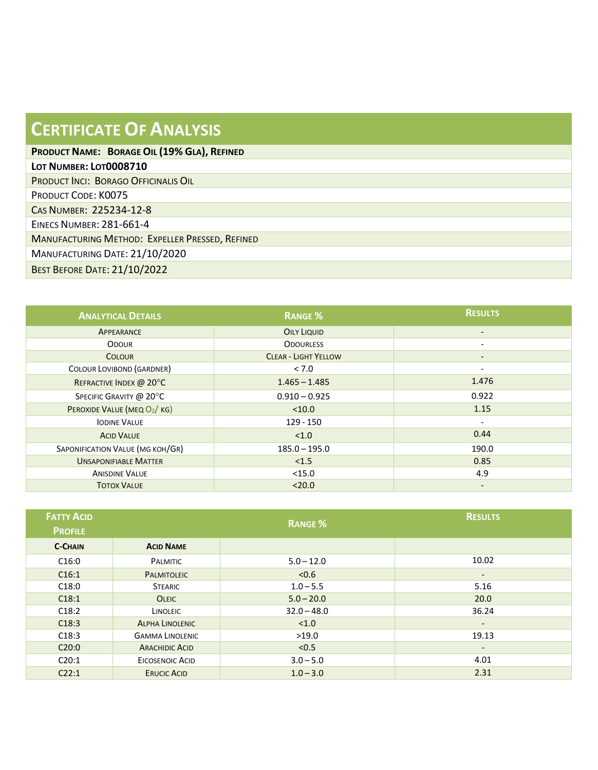| <b>CERTIFICATE OF ANALYSIS</b>                  |
|-------------------------------------------------|
| PRODUCT NAME: BORAGE OIL (19% GLA), REFINED     |
| LOT NUMBER: LOT0008710                          |
| <b>PRODUCT INCI: BORAGO OFFICINALIS OIL</b>     |
| <b>PRODUCT CODE: K0075</b>                      |
| CAS NUMBER: 225234-12-8                         |
| <b>EINECS NUMBER: 281-661-4</b>                 |
| MANUFACTURING METHOD: EXPELLER PRESSED, REFINED |
| MANUFACTURING DATE: 21/10/2020                  |
| <b>BEST BEFORE DATE: 21/10/2022</b>             |

| <b>ANALYTICAL DETAILS</b>        | <b>RANGE %</b>              | <b>RESULTS</b>           |
|----------------------------------|-----------------------------|--------------------------|
| APPEARANCE                       | <b>OILY LIQUID</b>          | $\overline{\phantom{a}}$ |
| <b>ODOUR</b>                     | <b>ODOURLESS</b>            | $\overline{\phantom{a}}$ |
| <b>COLOUR</b>                    | <b>CLEAR - LIGHT YELLOW</b> | $\overline{\phantom{a}}$ |
| COLOUR LOVIBOND (GARDNER)        | < 7.0                       | $\overline{\phantom{a}}$ |
| REFRACTIVE INDEX @ 20°C          | $1.465 - 1.485$             | 1.476                    |
| SPECIFIC GRAVITY @ 20°C          | $0.910 - 0.925$             | 0.922                    |
| PEROXIDE VALUE (MEQ O2/KG)       | < 10.0                      | 1.15                     |
| <b>IODINE VALUE</b>              | $129 - 150$                 | $\overline{\phantom{a}}$ |
| <b>ACID VALUE</b>                | < 1.0                       | 0.44                     |
| SAPONIFICATION VALUE (MG KOH/GR) | $185.0 - 195.0$             | 190.0                    |
| <b>UNSAPONIFIABLE MATTER</b>     | < 1.5                       | 0.85                     |
| <b>ANISDINE VALUE</b>            | $<$ 15.0                    | 4.9                      |
| <b>TOTOX VALUE</b>               | < 20.0                      | $\overline{\phantom{a}}$ |

| <b>FATTY ACID</b><br><b>PROFILE</b> |                        | <b>RANGE %</b> | <b>RESULTS</b>           |
|-------------------------------------|------------------------|----------------|--------------------------|
| <b>C-CHAIN</b>                      | <b>ACID NAME</b>       |                |                          |
| C16:0                               | <b>PALMITIC</b>        | $5.0 - 12.0$   | 10.02                    |
| C16:1                               | <b>PALMITOLEIC</b>     | < 0.6          | $\overline{\phantom{a}}$ |
| C18:0                               | <b>STEARIC</b>         | $1.0 - 5.5$    | 5.16                     |
| C18:1                               | <b>OLEIC</b>           | $5.0 - 20.0$   | 20.0                     |
| C18:2                               | LINOLEIC               | $32.0 - 48.0$  | 36.24                    |
| C18:3                               | <b>ALPHA LINOLENIC</b> | < 1.0          | $\overline{\phantom{a}}$ |
| C18:3                               | <b>GAMMA LINOLENIC</b> | >19.0          | 19.13                    |
| C20:0                               | <b>ARACHIDIC ACID</b>  | < 0.5          | $\overline{\phantom{a}}$ |
| C20:1                               | EICOSENOIC ACID        | $3.0 - 5.0$    | 4.01                     |
| C22:1                               | <b>ERUCIC ACID</b>     | $1.0 - 3.0$    | 2.31                     |